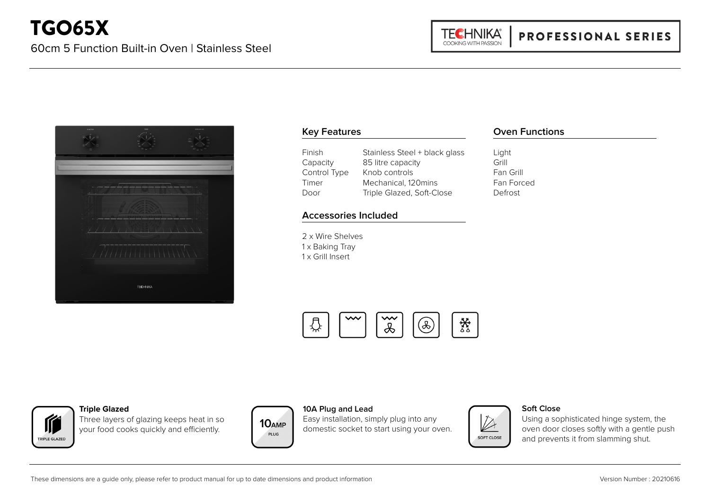

# **Key Features**

| Finish       | Stainless Steel + black glass |
|--------------|-------------------------------|
| Capacity     | 85 litre capacity             |
| Control Type | Knob controls                 |
| Timer        | Mechanical, 120mins           |
| Door         | Triple Glazed, Soft-Close     |

# **Accessories Included**

2 x Wire Shelves 1 x Baking Tray 1 x Grill Insert

# **Oven Functions**

Light Grill Fan Grill Fan Forced Defrost

 $\rightsquigarrow$ 耧 ₽ (D)  $\&$ 



#### **Triple Glazed**

Three layers of glazing keeps heat in so your food cooks quickly and efficiently.



### **10A Plug and Lead**

Easy installation, simply plug into any domestic socket to start using your oven.



#### **Soft Close**

Using a sophisticated hinge system, the oven door closes softly with a gentle push and prevents it from slamming shut.